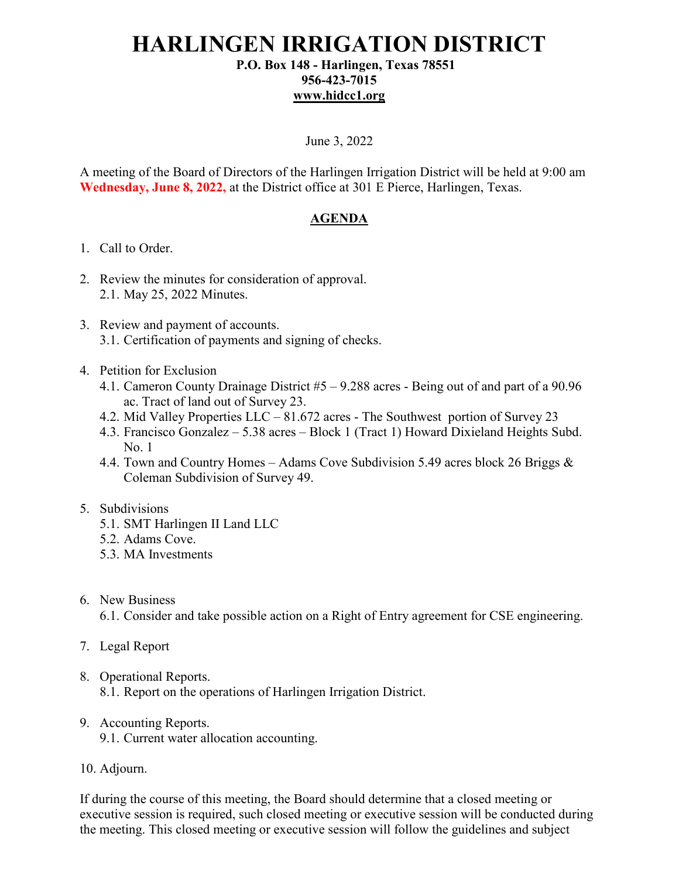## **HARLINGEN IRRIGATION DISTRICT P.O. Box 148 - Harlingen, Texas 78551**

## **956-423-7015 [www.hidcc1.org](http://www.hidcc1.org/)**

#### June 3, 2022

A meeting of the Board of Directors of the Harlingen Irrigation District will be held at 9:00 am **Wednesday, June 8, 2022,** at the District office at 301 E Pierce, Harlingen, Texas.

#### **AGENDA**

- 1. Call to Order.
- 2. Review the minutes for consideration of approval. 2.1. May 25, 2022 Minutes.
- 3. Review and payment of accounts. 3.1. Certification of payments and signing of checks.
- 4. Petition for Exclusion
	- 4.1. Cameron County Drainage District #5 9.288 acres Being out of and part of a 90.96 ac. Tract of land out of Survey 23.
	- 4.2. Mid Valley Properties LLC 81.672 acres The Southwest portion of Survey 23
	- 4.3. Francisco Gonzalez 5.38 acres Block 1 (Tract 1) Howard Dixieland Heights Subd. No. 1
	- 4.4. Town and Country Homes Adams Cove Subdivision 5.49 acres block 26 Briggs & Coleman Subdivision of Survey 49.

#### 5. Subdivisions

- 5.1. SMT Harlingen II Land LLC
- 5.2. Adams Cove.
- 5.3. MA Investments
- 6. New Business

6.1. Consider and take possible action on a Right of Entry agreement for CSE engineering.

- 7. Legal Report
- 8. Operational Reports.

8.1. Report on the operations of Harlingen Irrigation District.

- 9. Accounting Reports.
	- 9.1. Current water allocation accounting.
- 10. Adjourn.

If during the course of this meeting, the Board should determine that a closed meeting or executive session is required, such closed meeting or executive session will be conducted during the meeting. This closed meeting or executive session will follow the guidelines and subject